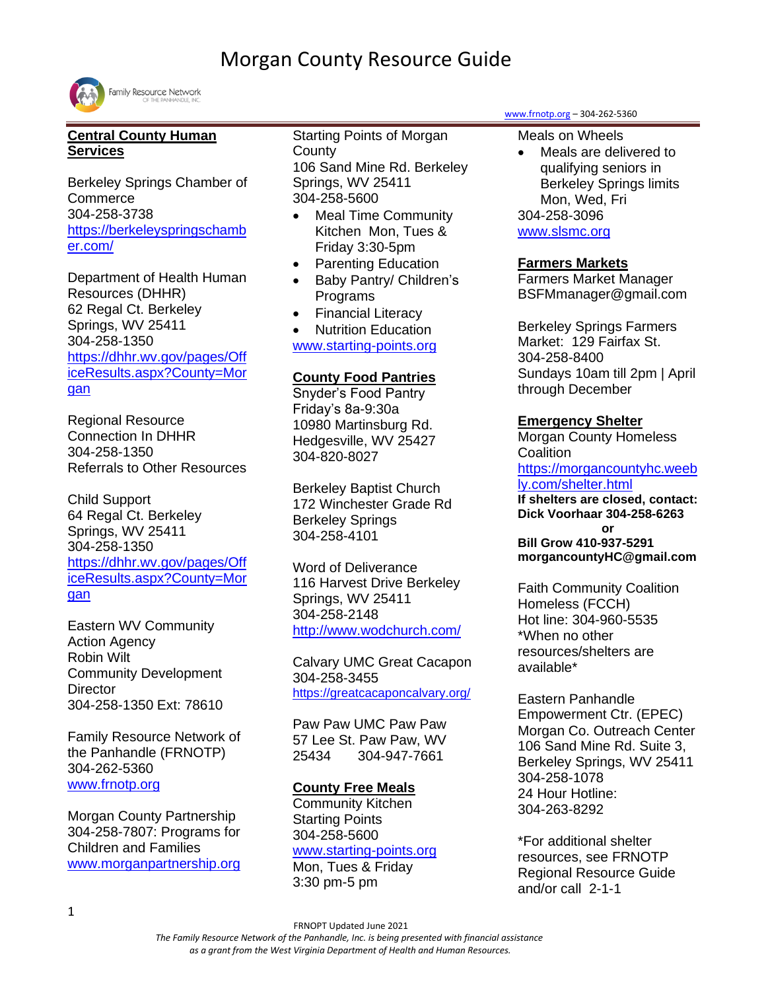

## **Central County Human Services**

Berkeley Springs Chamber of **Commerce** 304-258-3738 [https://berkeleyspringschamb](https://berkeleyspringschamber.com/) [er.com/](https://berkeleyspringschamber.com/)

Department of Health Human Resources (DHHR) 62 Regal Ct. Berkeley Springs, WV 25411 304-258-1350 [https://dhhr.wv.gov/pages/Off](https://dhhr.wv.gov/pages/Office-Results.aspx?County=Morgan) [iceResults.aspx?County=Mor](https://dhhr.wv.gov/pages/Office-Results.aspx?County=Morgan) [gan](https://dhhr.wv.gov/pages/Office-Results.aspx?County=Morgan)

Regional Resource Connection In DHHR 304-258-1350 Referrals to Other Resources

Child Support 64 Regal Ct. Berkeley Springs, WV 25411 304-258-1350 [https://dhhr.wv.gov/pages/Off](https://dhhr.wv.gov/pages/Office-Results.aspx?County=Morgan) [iceResults.aspx?County=Mor](https://dhhr.wv.gov/pages/Office-Results.aspx?County=Morgan) [gan](https://dhhr.wv.gov/pages/Office-Results.aspx?County=Morgan)

Eastern WV Community Action Agency Robin Wilt Community Development **Director** 304-258-1350 Ext: 78610

Family Resource Network of the Panhandle (FRNOTP) 304-262-5360 [www.frnotp.org](http://www.frnotp.org/)

Morgan County Partnership 304-258-7807: Programs for Children and Families [www.morganpartnership.org](http://www.morganpartnership.org/) Starting Points of Morgan **County** 106 Sand Mine Rd. Berkeley Springs, WV 25411 304-258-5600

- Meal Time Community Kitchen Mon, Tues & Friday 3:30-5pm
- Parenting Education
- Baby Pantry/ Children's Programs
- Financial Literacy
- Nutrition Education

[www.starting-points.org](http://www.starting-points.org/)

## **County Food Pantries**

Snyder's Food Pantry Friday's 8a-9:30a 10980 Martinsburg Rd. Hedgesville, WV 25427 304-820-8027

Berkeley Baptist Church 172 Winchester Grade Rd Berkeley Springs 304-258-4101

Word of Deliverance 116 Harvest Drive Berkeley Springs, WV 25411 304-258-2148 <http://www.wodchurch.com/>

Calvary UMC Great Cacapon 304-258-3455 <https://greatcacaponcalvary.org/>

Paw Paw UMC Paw Paw 57 Lee St. Paw Paw, WV 25434 304-947-7661

## **County Free Meals**

Community Kitchen Starting Points 304-258-5600 [www.starting-points.org](http://www.starting-points.org/) Mon, Tues & Friday

3:30 pm-5 pm

[www.frnotp.org](http://www.frnotp.org/) – 304-262-5360

Meals on Wheels

• Meals are delivered to qualifying seniors in Berkeley Springs limits Mon, Wed, Fri 304-258-3096 [www.slsmc.org](file:///C:/Users/SP/AppData/Local/Microsoft/Windows/Temporary%20Internet%20Files/Content.Outlook/P7D952PH/www.slsmc.org)

## **Farmers Markets**

Farmers Market Manager BSFMmanager@gmail.com

Berkeley Springs Farmers Market: 129 Fairfax St. 304-258-8400 Sundays 10am till 2pm | April through December

## **Emergency Shelter**

Morgan County Homeless **Coalition** [https://morgancountyhc.weeb](https://morgancountyhc.weebly.com/shelter.html) [ly.com/shelter.html](https://morgancountyhc.weebly.com/shelter.html) **If shelters are closed, contact: Dick Voorhaar 304-258-6263 or**

**Bill Grow 410-937-5291 morgancountyHC@gmail.com**

Faith Community Coalition Homeless (FCCH) Hot line: 304-960-5535 \*When no other resources/shelters are available\*

Eastern Panhandle Empowerment Ctr. (EPEC) Morgan Co. Outreach Center 106 Sand Mine Rd. Suite 3, Berkeley Springs, WV 25411 304-258-1078 24 Hour Hotline: 304-263-8292

\*For additional shelter resources, see FRNOTP Regional Resource Guide and/or call 2-1-1

FRNOPT Updated June 2021

 *The Family Resource Network of the Panhandle, Inc. is being presented with financial assistance as a grant from the West Virginia Department of Health and Human Resources.*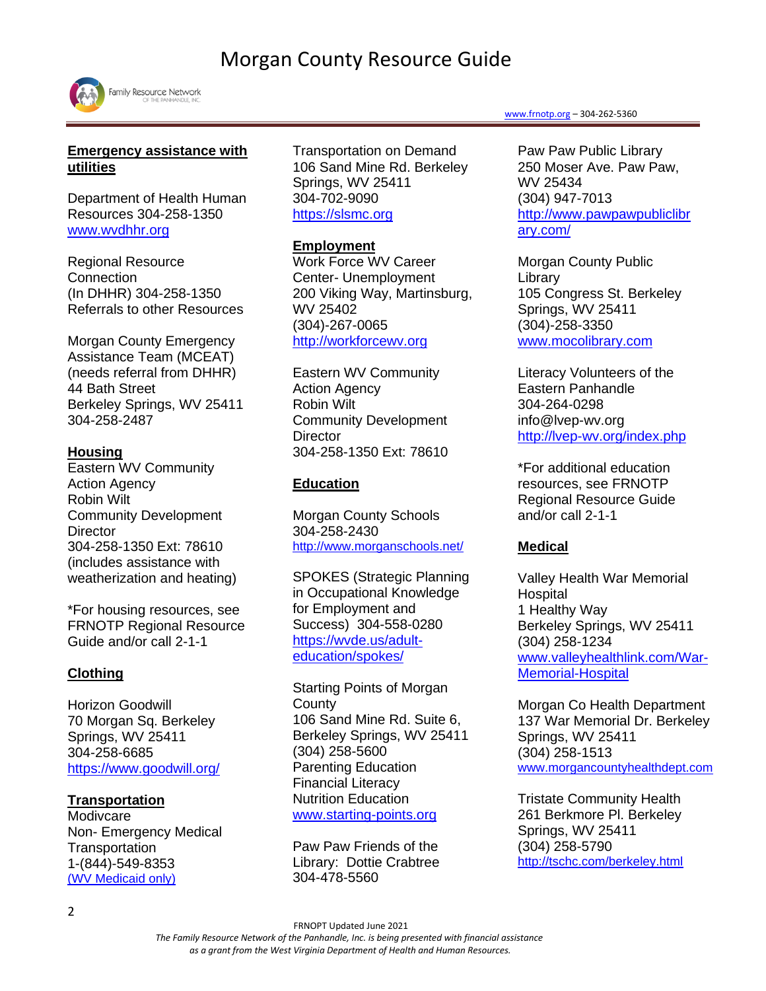

## **Emergency assistance with utilities**

Department of Health Human Resources 304-258-1350 [www.wvdhhr.org](http://www.wvdhhr.org/)

Regional Resource Connection (In DHHR) 304-258-1350 Referrals to other Resources

Morgan County Emergency Assistance Team (MCEAT) (needs referral from DHHR) 44 Bath Street Berkeley Springs, WV 25411 304-258-2487

## **Housing**

Eastern WV Community Action Agency Robin Wilt Community Development **Director** 304-258-1350 Ext: 78610 (includes assistance with weatherization and heating)

\*For housing resources, see FRNOTP Regional Resource Guide and/or call 2-1-1

## **Clothing**

Horizon Goodwill 70 Morgan Sq. Berkeley Springs, WV 25411 304-258-6685 <https://www.goodwill.org/>

## **Transportation**

Modivcare Non- Emergency Medical **Transportation** 1-(844)-549-8353 [\(WV](https://www.logisticare.com/) Medicaid only)

Transportation on Demand 106 Sand Mine Rd. Berkeley Springs, WV 25411 304-702-9090 [https://slsmc.org](https://slsmc.org/index.php/transportation/?fbclid=IwAR3gWc413TboWuqgpumnhw9FQDMqFSAPJ_ftQyjjIwdrxsb_DO6okRfzx0E)

#### **Employment**

Work Force WV Career Center- Unemployment 200 Viking Way, Martinsburg, WV 25402 (304)-267-0065 [http://workforcewv.org](http://workforcewv.org/)

Eastern WV Community Action Agency Robin Wilt Community Development **Director** 304-258-1350 Ext: 78610

## **Education**

Morgan County Schools 304-258-2430 <http://www.morganschools.net/>

SPOKES (Strategic Planning in Occupational Knowledge for Employment and Success) 304-558-0280 [https://wvde.us/adult](https://wvde.us/adult-education/spokes/)[education/spokes/](https://wvde.us/adult-education/spokes/)

Starting Points of Morgan **County** 106 Sand Mine Rd. Suite 6, Berkeley Springs, WV 25411 (304) 258-5600 Parenting Education Financial Literacy Nutrition Education [www.starting-points.org](http://www.starting-points.org/)

Paw Paw Friends of the Library: Dottie Crabtree 304-478-5560

#### [www.frnotp.org](http://www.frnotp.org/) – 304-262-5360

Paw Paw Public Library 250 Moser Ave. Paw Paw, WV 25434 (304) 947-7013 [http://www.pawpawpubliclibr](http://www.pawpawpubliclibrary.com/) [ary.com/](http://www.pawpawpubliclibrary.com/)

Morgan County Public Library 105 Congress St. Berkeley Springs, WV 25411 (304)-258-3350 [www.mocolibrary.com](http://www.mocolibrary.com/)

Literacy Volunteers of the Eastern Panhandle 304-264-0298 info@lvep-wv.org <http://lvep-wv.org/index.php>

\*For additional education resources, see FRNOTP Regional Resource Guide and/or call 2-1-1

### **Medical**

Valley Health War Memorial **Hospital** 1 Healthy Way Berkeley Springs, WV 25411 (304) 258-1234 [www.valleyhealthlink.com/War-](http://www.valleyhealthlink.com/War-Memorial-Hospital)[Memorial-Hospital](http://www.valleyhealthlink.com/War-Memorial-Hospital)

Morgan Co Health Department 137 War Memorial Dr. Berkeley Springs, WV 25411 (304) 258-1513 [www.morgancountyhealthdept.com](http://www.morgancountyhealthdept.com/)

Tristate Community Health 261 Berkmore Pl. Berkeley Springs, WV 25411 (304) 258-5790 <http://tschc.com/berkeley.html>

FRNOPT Updated June 2021

*The Family Resource Network of the Panhandle, Inc. is being presented with financial assistance*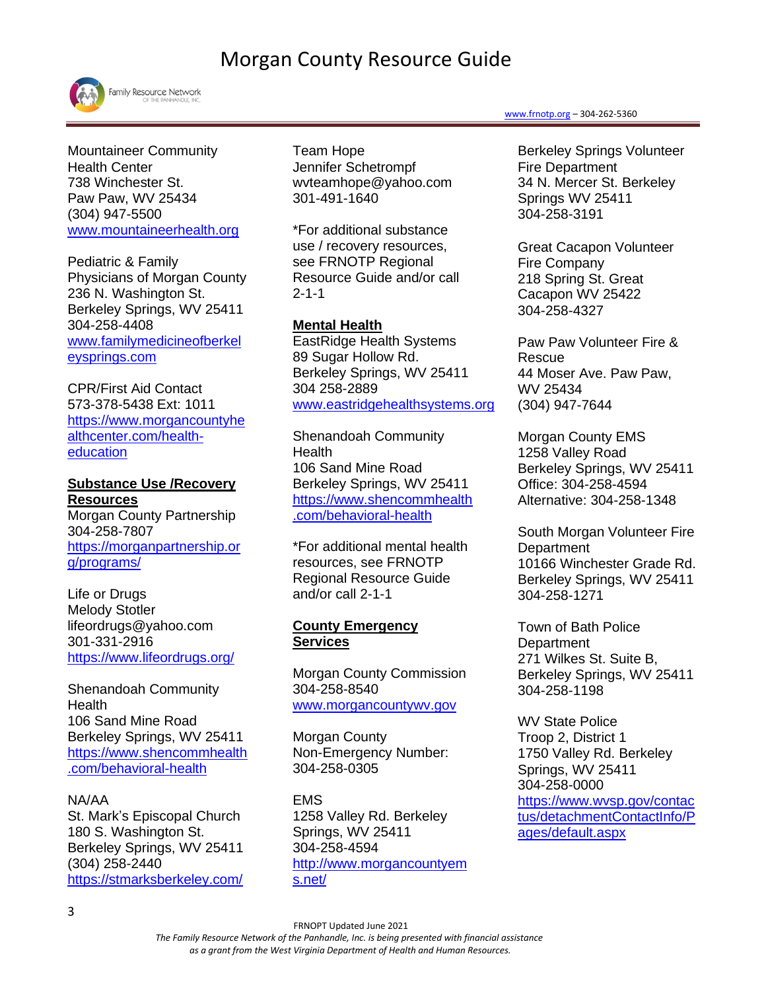

Family Resource Network

Mountaineer Community Health Center 738 Winchester St. Paw Paw, WV 25434 (304) 947-5500 [www.mountaineerhealth.org](http://www.mountaineerhealth.org/)

Pediatric & Family Physicians of Morgan County 236 N. Washington St. Berkeley Springs, WV 25411 304-258-4408 [www.familymedicineofberkel](http://www.familymedicineofberkeleysprings.com/) [eysprings.com](http://www.familymedicineofberkeleysprings.com/)

CPR/First Aid Contact 573-378-5438 Ext: 1011 [https://www.morgancountyhe](https://www.morgancountyhealthcenter.com/health-education) [althcenter.com/health](https://www.morgancountyhealthcenter.com/health-education)[education](https://www.morgancountyhealthcenter.com/health-education)

**Substance Use /Recovery Resources** Morgan County Partnership 304-258-7807 [https://morganpartnership.or](https://morganpartnership.org/programs/) [g/programs/](https://morganpartnership.org/programs/)

Life or Drugs Melody Stotler lifeordrugs@yahoo.com 301-331-2916 <https://www.lifeordrugs.org/>

Shenandoah Community Health 106 Sand Mine Road Berkeley Springs, WV 25411 [https://www.shencommhealth](https://linkprotect.cudasvc.com/url?a=https%3a%2f%2fwww.shencommhealth.com%2fbehavioral-health&c=E,1,u-qq-8c8TDoQBBMrihz0KPunhbGZSppWL50RG1kCUeP7jK6fnFBDjJh8bqfRJREck3lyuj-seK1HQtuusjUh1iS3LiIZ5lHxkBhESONdI5Aj&typo=1) [.com/behavioral-health](https://linkprotect.cudasvc.com/url?a=https%3a%2f%2fwww.shencommhealth.com%2fbehavioral-health&c=E,1,u-qq-8c8TDoQBBMrihz0KPunhbGZSppWL50RG1kCUeP7jK6fnFBDjJh8bqfRJREck3lyuj-seK1HQtuusjUh1iS3LiIZ5lHxkBhESONdI5Aj&typo=1)

NA/AA St. Mark's Episcopal Church 180 S. Washington St. Berkeley Springs, WV 25411 (304) 258-2440 <https://stmarksberkeley.com/>

Team Hope Jennifer Schetrompf wvteamhope@yahoo.com 301-491-1640

\*For additional substance use / recovery resources, see FRNOTP Regional Resource Guide and/or call 2-1-1

## **Mental Health**

EastRidge Health Systems 89 Sugar Hollow Rd. Berkeley Springs, WV 25411 304 258-2889 [www.eastridgehealthsystems.org](http://www.eastridgehealthsystems.org/)

Shenandoah Community Health 106 Sand Mine Road Berkeley Springs, WV 25411 [https://www.shencommhealth](https://linkprotect.cudasvc.com/url?a=https%3a%2f%2fwww.shencommhealth.com%2fbehavioral-health&c=E,1,u-qq-8c8TDoQBBMrihz0KPunhbGZSppWL50RG1kCUeP7jK6fnFBDjJh8bqfRJREck3lyuj-seK1HQtuusjUh1iS3LiIZ5lHxkBhESONdI5Aj&typo=1) [.com/behavioral-health](https://linkprotect.cudasvc.com/url?a=https%3a%2f%2fwww.shencommhealth.com%2fbehavioral-health&c=E,1,u-qq-8c8TDoQBBMrihz0KPunhbGZSppWL50RG1kCUeP7jK6fnFBDjJh8bqfRJREck3lyuj-seK1HQtuusjUh1iS3LiIZ5lHxkBhESONdI5Aj&typo=1)

\*For additional mental health resources, see FRNOTP Regional Resource Guide and/or call 2-1-1

#### **County Emergency Services**

Morgan County Commission 304-258-8540 [www.morgancountywv.gov](http://www.morgancountywv.gov/)

Morgan County Non-Emergency Number: 304-258-0305

EMS 1258 Valley Rd. Berkeley Springs, WV 25411 304-258-4594 [http://www.morgancountyem](http://www.morgancountyems.net/) [s.net/](http://www.morgancountyems.net/)

#### [www.frnotp.org](http://www.frnotp.org/) – 304-262-5360

[Berkeley Springs Volunteer](https://www.countyoffice.org/berkeley-springs-volunteer-fire-department-berkeley-springs-wv-41e/)  [Fire Department](https://www.countyoffice.org/berkeley-springs-volunteer-fire-department-berkeley-springs-wv-41e/) 34 N. Mercer St. Berkeley Springs WV 25411 [304-258-3191](tel:+1-304-258-3191)

[Great Cacapon Volunteer](https://www.countyoffice.org/great-cacapon-volunteer-fire-company-great-cacapon-wv-41f/)  [Fire Company](https://www.countyoffice.org/great-cacapon-volunteer-fire-company-great-cacapon-wv-41f/) 218 Spring St. Great Cacapon WV 25422 [304-258-4327](tel:+1-304-258-4327)

[Paw Paw Volunteer Fire &](https://www.countyoffice.org/paw-paw-volunteer-fire-rescue-paw-paw-wv-420/)  [Rescue](https://www.countyoffice.org/paw-paw-volunteer-fire-rescue-paw-paw-wv-420/) 44 Moser Ave. Paw Paw, WV 25434 [\(304\) 947-7644](tel:+1-304-947-7644)

Morgan County EMS 1258 Valley Road Berkeley Springs, WV 25411 Office: 304-258-4594 Alternative: 304-258-1348

South Morgan Volunteer Fire **Department** 10166 Winchester Grade Rd. Berkeley Springs, WV 25411 304-258-1271

Town of Bath Police **Department** 271 Wilkes St. Suite B, Berkeley Springs, WV 25411 304-258-1198

WV State Police Troop 2, District 1 1750 Valley Rd. Berkeley Springs, WV 25411 304-258-0000 [https://www.wvsp.gov/contac](https://www.wvsp.gov/contactus/detachmentContactInfo/Pages/default.aspx) [tus/detachmentContactInfo/P](https://www.wvsp.gov/contactus/detachmentContactInfo/Pages/default.aspx) [ages/default.aspx](https://www.wvsp.gov/contactus/detachmentContactInfo/Pages/default.aspx)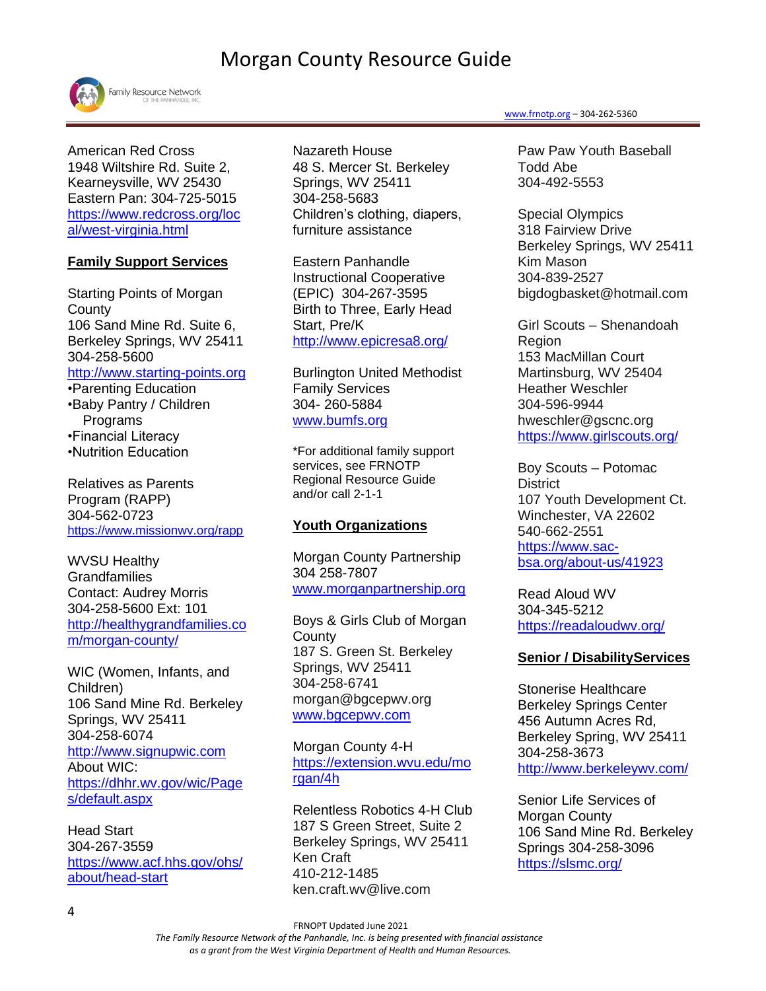

American Red Cross 1948 Wiltshire Rd. Suite 2, Kearneysville, WV 25430 Eastern Pan: 304-725-5015 [https://www.redcross.org/loc](https://www.redcross.org/local/west-virginia.html) [al/west-virginia.html](https://www.redcross.org/local/west-virginia.html)

## **Family Support Services**

Starting Points of Morgan **County** 106 Sand Mine Rd. Suite 6, Berkeley Springs, WV 25411 304-258-5600 [http://www.starting-points.org](http://www.starting-points.org/?page_id=589) •Parenting Education •Baby Pantry / Children

 Programs •Financial Literacy •Nutrition Education

Relatives as Parents Program (RAPP) 304-562-0723 <https://www.missionwv.org/rapp>

WVSU Healthy **Grandfamilies** Contact: Audrey Morris 304-258-5600 Ext: 101 [http://healthygrandfamilies.co](http://healthygrandfamilies.com/morgan-county/) [m/morgan-county/](http://healthygrandfamilies.com/morgan-county/)

WIC (Women, Infants, and Children) 106 Sand Mine Rd. Berkeley Springs, WV 25411 304-258-6074 [http://www.signupwic.com](http://www.signupwic.com/?&utm_source=google&utm_term=wic&utm_campaign=WIC+-+Brand&utm_medium=cpc&utm_content=stdMRZOav_dc|pcrid|319844107420|pkw|wic|pmt|e) About WIC: [https://dhhr.wv.gov/wic/Page](https://dhhr.wv.gov/wic/Pages/default.aspx) [s/default.aspx](https://dhhr.wv.gov/wic/Pages/default.aspx)

Head Start 304-267-3559 [https://www.acf.hhs.gov/ohs/](https://www.acf.hhs.gov/ohs/about/head-start) [about/head-start](https://www.acf.hhs.gov/ohs/about/head-start)

Nazareth House 48 S. Mercer St. Berkeley Springs, WV 25411 304-258-5683 Children's clothing, diapers, furniture assistance

Eastern Panhandle Instructional Cooperative (EPIC) 304-267-3595 Birth to Three, Early Head Start, Pre/K <http://www.epicresa8.org/>

Burlington United Methodist Family Services 304- 260-5884 [www.bumfs.org](http://www.bumfs.org/)

\*For additional family support services, see FRNOTP Regional Resource Guide and/or call 2-1-1

## **Youth Organizations**

Morgan County Partnership 304 258-7807 [www.morganpartnership.org](http://www.morganpartnership.org/)

Boys & Girls Club of Morgan **County** 187 S. Green St. Berkeley Springs, WV 25411 304-258-6741 morgan@bgcepwv.org [www.bgcepwv.com](file:///C:/Users/SP/AppData/Local/Microsoft/Windows/Temporary%20Internet%20Files/Content.Outlook/P7D952PH/www.bgcepwv.com)

Morgan County 4-H [https://extension.wvu.edu/mo](https://extension.wvu.edu/morgan/4h) [rgan/4h](https://extension.wvu.edu/morgan/4h)

Relentless Robotics 4-H Club 187 S Green Street, Suite 2 Berkeley Springs, WV 25411 Ken Craft 410-212-1485 ken.craft.wv@live.com

#### [www.frnotp.org](http://www.frnotp.org/) – 304-262-5360

Paw Paw Youth Baseball Todd Abe 304-492-5553

Special Olympics 318 Fairview Drive Berkeley Springs, WV 25411 Kim Mason 304-839-2527 bigdogbasket@hotmail.com

Girl Scouts – Shenandoah Region 153 MacMillan Court Martinsburg, WV 25404 Heather Weschler 304-596-9944 hweschler@gscnc.org <https://www.girlscouts.org/>

Boy Scouts – Potomac **District** 107 Youth Development Ct. Winchester, VA 22602 540-662-2551 [https://www.sac](https://www.sac-bsa.org/about-us/41923)[bsa.org/about-us/41923](https://www.sac-bsa.org/about-us/41923)

Read Aloud WV 304-345-5212 <https://readaloudwv.org/>

### **Senior / DisabilityServices**

Stonerise Healthcare Berkeley Springs Center 456 Autumn Acres Rd, Berkeley Spring, WV 25411 304-258-3673 <http://www.berkeleywv.com/>

Senior Life Services of Morgan County 106 Sand Mine Rd. Berkeley Springs 304-258-3096 <https://slsmc.org/>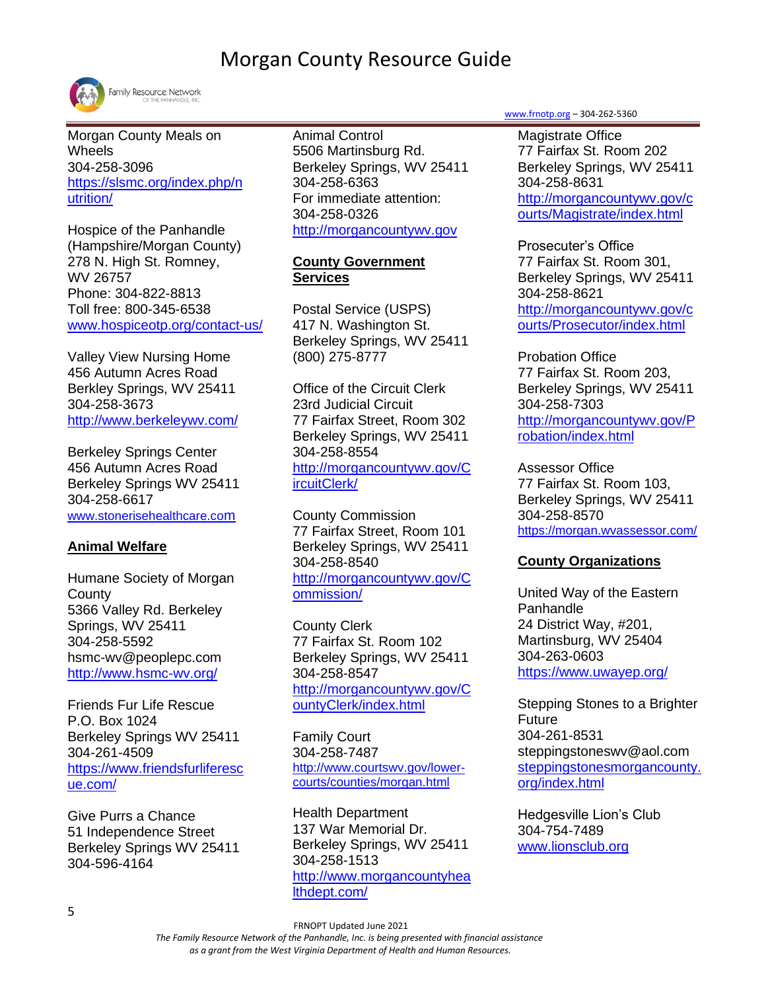

Family Resource Network

Morgan County Meals on Wheels 304-258-3096 [https://slsmc.org/index.php/n](https://slsmc.org/index.php/nutrition/) [utrition/](https://slsmc.org/index.php/nutrition/)

Hospice of the Panhandle (Hampshire/Morgan County) 278 N. High St. Romney, WV 26757 Phone: 304-822-8813 Toll free: 800-345-6538 [www.hospiceotp.org/contact-us/](http://www.hospiceotp.org/contact-us/)

Valley View Nursing Home 456 Autumn Acres Road Berkley Springs, WV 25411 304-258-3673 <http://www.berkeleywv.com/>

Berkeley Springs Center 456 Autumn Acres Road Berkeley Springs WV 25411 304-258-6617 [www.stonerisehealthcare.co](http://www.stonerisehealthcare.com/)[m](http://www.stonerisehealthcare.com/)

## **Animal Welfare**

Humane Society of Morgan **County** 5366 Valley Rd. Berkeley Springs, WV 25411 304-258-5592 hsmc-wv@peoplepc.com <http://www.hsmc-wv.org/>

Friends Fur Life Rescue P.O. Box 1024 Berkeley Springs WV 25411 304-261-4509 [https://www.friendsfurliferesc](https://www.friendsfurliferescue.com/) [ue.com/](https://www.friendsfurliferescue.com/)

Give Purrs a Chance 51 Independence Street Berkeley Springs WV 25411 304-596-4164

Animal Control 5506 Martinsburg Rd. Berkeley Springs, WV 25411 304-258-6363 For immediate attention: 304-258-0326 [http://morgancountywv.gov](http://morgancountywv.gov/Animal%20Control/index.html)

## **County Government Services**

Postal Service (USPS) 417 N. Washington St. Berkeley Springs, WV 25411 (800) 275-8777

Office of the Circuit Clerk 23rd Judicial Circuit 77 Fairfax Street, Room 302 Berkeley Springs, WV 25411 304-258-8554 [http://morgancountywv.gov/C](http://morgancountywv.gov/CircuitClerk/) [ircuitClerk/](http://morgancountywv.gov/CircuitClerk/)

County Commission 77 Fairfax Street, Room 101 Berkeley Springs, WV 25411 304-258-8540 [http://morgancountywv.gov/C](http://morgancountywv.gov/Commission/) [ommission/](http://morgancountywv.gov/Commission/)

County Clerk 77 Fairfax St. Room 102 Berkeley Springs, WV 25411 304-258-8547 [http://morgancountywv.gov/C](http://morgancountywv.gov/CountyClerk/index.html) [ountyClerk/index.html](http://morgancountywv.gov/CountyClerk/index.html)

Family Court 304-258-7487 [http://www.courtswv.gov/lower](http://www.courtswv.gov/lower-courts/counties/morgan.html)[courts/counties/morgan.html](http://www.courtswv.gov/lower-courts/counties/morgan.html)

Health Department 137 War Memorial Dr. Berkeley Springs, WV 25411 304-258-1513 [http://www.morgancountyhea](http://www.morgancountyhealthdept.com/) [lthdept.com/](http://www.morgancountyhealthdept.com/)

[www.frnotp.org](http://www.frnotp.org/) – 304-262-5360

Magistrate Office 77 Fairfax St. Room 202 Berkeley Springs, WV 25411 304-258-8631 [http://morgancountywv.gov/c](http://morgancountywv.gov/courts/Magistrate/index.html) [ourts/Magistrate/index.html](http://morgancountywv.gov/courts/Magistrate/index.html)

Prosecuter's Office 77 Fairfax St. Room 301, Berkeley Springs, WV 25411 304-258-8621 [http://morgancountywv.gov/c](http://morgancountywv.gov/courts/Prosecutor/index.html) [ourts/Prosecutor/index.html](http://morgancountywv.gov/courts/Prosecutor/index.html)

Probation Office 77 Fairfax St. Room 203, Berkeley Springs, WV 25411 304-258-7303 [http://morgancountywv.gov/P](http://morgancountywv.gov/Probation/index.html) [robation/index.html](http://morgancountywv.gov/Probation/index.html)

Assessor Office 77 Fairfax St. Room 103, Berkeley Springs, WV 25411 304-258-8570 <https://morgan.wvassessor.com/>

## **County Organizations**

United Way of the Eastern Panhandle 24 District Way, #201, Martinsburg, WV 25404 304-263-0603 <https://www.uwayep.org/>

Stepping Stones to a Brighter Future 304-261-8531 steppingstoneswv@aol.com [steppingstonesmorgancounty.](http://steppingstonesmorgancounty.org/index.html) [org/index.html](http://steppingstonesmorgancounty.org/index.html)

Hedgesville Lion's Club 304-754-7489 [www.lionsclub.org](file:///C:/Users/SP/AppData/Local/Microsoft/Windows/Temporary%20Internet%20Files/Content.Outlook/P7D952PH/www.lionsclub.org)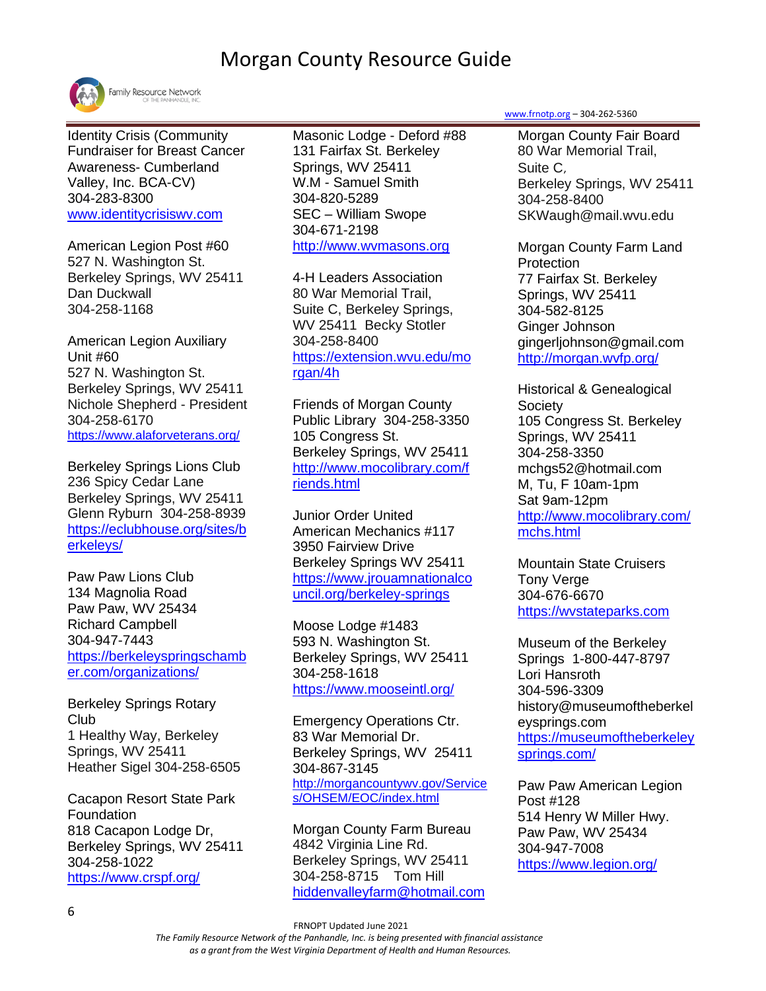

Identity Crisis (Community Fundraiser for Breast Cancer Awareness- Cumberland Valley, Inc. BCA-CV) 304-283-8300 [www.identitycrisiswv.com](http://www.identitycrisiswv.com/)

American Legion Post #60 527 N. Washington St. Berkeley Springs, WV 25411 Dan Duckwall 304-258-1168

American Legion Auxiliary Unit #60 527 N. Washington St. Berkeley Springs, WV 25411 Nichole Shepherd - President 304-258-6170 <https://www.alaforveterans.org/>

Berkeley Springs Lions Club 236 Spicy Cedar Lane Berkeley Springs, WV 25411 Glenn Ryburn 304-258-8939 [https://eclubhouse.org/sites/b](https://e-clubhouse.org/sites/berkeleys/) [erkeleys/](https://e-clubhouse.org/sites/berkeleys/)

Paw Paw Lions Club 134 Magnolia Road Paw Paw, WV 25434 Richard Campbell 304-947-7443 [https://berkeleyspringschamb](https://berkeleyspringschamber.com/organizations/) [er.com/organizations/](https://berkeleyspringschamber.com/organizations/)

Berkeley Springs Rotary Club 1 Healthy Way, Berkeley Springs, WV 25411 Heather Sigel 304-258-6505

Cacapon Resort State Park Foundation 818 Cacapon Lodge Dr, Berkeley Springs, WV 25411 304-258-1022 <https://www.crspf.org/>

Masonic Lodge - Deford #88 131 Fairfax St. Berkeley Springs, WV 25411 W.M - Samuel Smith 304-820-5289 SEC – William Swope 304-671-2198 [http://www.wvmasons.org](http://www.wvmasons.org/home/masonic-resources/2015-list-of-wv-blue-lodges-and-contact-information/)

4-H Leaders Association 80 War Memorial Trail, Suite C, Berkeley Springs, WV 25411 Becky Stotler 304-258-8400 [https://extension.wvu.edu/mo](https://extension.wvu.edu/morgan/4h) [rgan/4h](https://extension.wvu.edu/morgan/4h)

Friends of Morgan County Public Library 304-258-3350 105 Congress St. Berkeley Springs, WV 25411 [http://www.mocolibrary.com/f](http://www.mocolibrary.com/friends.html) [riends.html](http://www.mocolibrary.com/friends.html)

Junior Order United American Mechanics #117 3950 Fairview Drive Berkeley Springs WV 25411 [https://www.jrouamnationalco](https://www.jrouamnationalcouncil.org/berkeley-springs) [uncil.org/berkeley-springs](https://www.jrouamnationalcouncil.org/berkeley-springs)

Moose Lodge #1483 593 N. Washington St. Berkeley Springs, WV 25411 304-258-1618 <https://www.mooseintl.org/>

Emergency Operations Ctr. 83 War Memorial Dr. Berkeley Springs, WV 25411 304-867-3145 [http://morgancountywv.gov/Service](http://morgancountywv.gov/Services/OHSEM/EOC/index.html) [s/OHSEM/EOC/index.html](http://morgancountywv.gov/Services/OHSEM/EOC/index.html)

Morgan County Farm Bureau 4842 Virginia Line Rd. Berkeley Springs, WV 25411 304-258-8715 Tom Hill [hiddenvalleyfarm@hotmail.com](file:///C:/Users/crice/Pictures/Desktop/SS%20resource%20drafts/hiddenvalleyfarm@hotmail.com) [www.frnotp.org](http://www.frnotp.org/) – 304-262-5360

Morgan County Fair Board 80 War Memorial Trail, Suite C, Berkeley Springs, WV 25411 304-258-8400 SKWaugh@mail.wvu.edu

Morgan County Farm Land **Protection** 77 Fairfax St. Berkeley Springs, WV 25411 304-582-8125 Ginger Johnson gingerljohnson@gmail.com <http://morgan.wvfp.org/>

Historical & Genealogical **Society** 105 Congress St. Berkeley Springs, WV 25411 304-258-3350 mchgs52@hotmail.com M, Tu, F 10am-1pm Sat 9am-12pm [http://www.mocolibrary.com/](http://www.mocolibrary.com/mchs.html) [mchs.html](http://www.mocolibrary.com/mchs.html)

Mountain State Cruisers Tony Verge 304-676-6670 [https://wvstateparks.com](https://wvstateparks.com/event/mountain-state-cruisers/?gclid=Cj0KCQjwwr32BRD4ARIsAAJNf_24cq11pqxCJ7YPlD1dBvMyeUIo-wfid8WQHxM0hVhUCBlgIRnY2OoaAjthEALw_wcB)

Museum of the Berkeley Springs 1-800-447-8797 Lori Hansroth 304-596-3309 history@museumoftheberkel eysprings.com [https://museumoftheberkeley](https://museumoftheberkeleysprings.com/) [springs.com/](https://museumoftheberkeleysprings.com/)

Paw Paw American Legion Post #128 514 Henry W Miller Hwy. Paw Paw, WV 25434 304-947-7008 <https://www.legion.org/>

FRNOPT Updated June 2021

 *The Family Resource Network of the Panhandle, Inc. is being presented with financial assistance as a grant from the West Virginia Department of Health and Human Resources.*